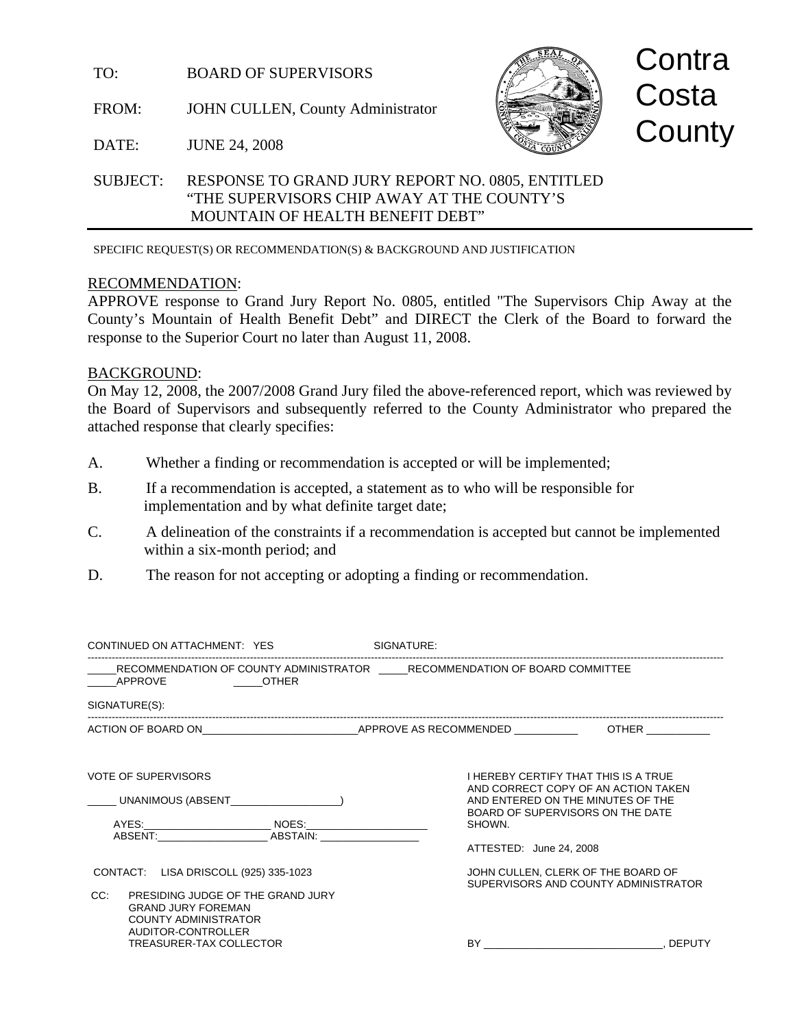TO: BOARD OF SUPERVISORS

FROM: JOHN CULLEN, County Administrator



**Contra Costa County** 

DATE: JUNE 24, 2008

# SUBJECT: RESPONSE TO GRAND JURY REPORT NO. 0805, ENTITLED "THE SUPERVISORS CHIP AWAY AT THE COUNTY'S MOUNTAIN OF HEALTH BENEFIT DEBT"

SPECIFIC REQUEST(S) OR RECOMMENDATION(S) & BACKGROUND AND JUSTIFICATION

# RECOMMENDATION:

APPROVE response to Grand Jury Report No. 0805, entitled "The Supervisors Chip Away at the County's Mountain of Health Benefit Debt" and DIRECT the Clerk of the Board to forward the response to the Superior Court no later than August 11, 2008.

# BACKGROUND:

On May 12, 2008, the 2007/2008 Grand Jury filed the above-referenced report, which was reviewed by the Board of Supervisors and subsequently referred to the County Administrator who prepared the attached response that clearly specifies:

- A. Whether a finding or recommendation is accepted or will be implemented;
- B. If a recommendation is accepted, a statement as to who will be responsible for implementation and by what definite target date;
- C. A delineation of the constraints if a recommendation is accepted but cannot be implemented within a six-month period; and
- D. The reason for not accepting or adopting a finding or recommendation.

| CONTINUED ON ATTACHMENT: YES                                                                                                                                                                   | SIGNATURE:                        |                                                                                                                                                             |
|------------------------------------------------------------------------------------------------------------------------------------------------------------------------------------------------|-----------------------------------|-------------------------------------------------------------------------------------------------------------------------------------------------------------|
| RECOMMENDATION OF COUNTY ADMINISTRATOR              RECOMMENDATION OF BOARD COMMITTEE<br><b>Example 2018 COTHER</b><br>APPROVE                                                                 |                                   |                                                                                                                                                             |
| SIGNATURE(S):                                                                                                                                                                                  |                                   |                                                                                                                                                             |
|                                                                                                                                                                                                |                                   |                                                                                                                                                             |
| <b>VOTE OF SUPERVISORS</b><br>UNANIMOUS (ABSENT UNIVERSITY OF A SERVICE OF A SERVICE OF A SERVICE OF A SERVICE OF A SERVICE OF A SERVICE OF A<br>ABSENT: ABSTAIN:                              | SHOWN.<br>ATTESTED: June 24, 2008 | <b>I HEREBY CERTIFY THAT THIS IS A TRUE</b><br>AND CORRECT COPY OF AN ACTION TAKEN<br>AND ENTERED ON THE MINUTES OF THE<br>BOARD OF SUPERVISORS ON THE DATE |
| CONTACT: LISA DRISCOLL (925) 335-1023<br>CC.<br>PRESIDING JUDGE OF THE GRAND JURY<br><b>GRAND JURY FOREMAN</b><br><b>COUNTY ADMINISTRATOR</b><br>AUDITOR-CONTROLLER<br>TREASURER-TAX COLLECTOR |                                   | JOHN CULLEN, CLERK OF THE BOARD OF<br>SUPERVISORS AND COUNTY ADMINISTRATOR<br>BY<br>. DEPUTY                                                                |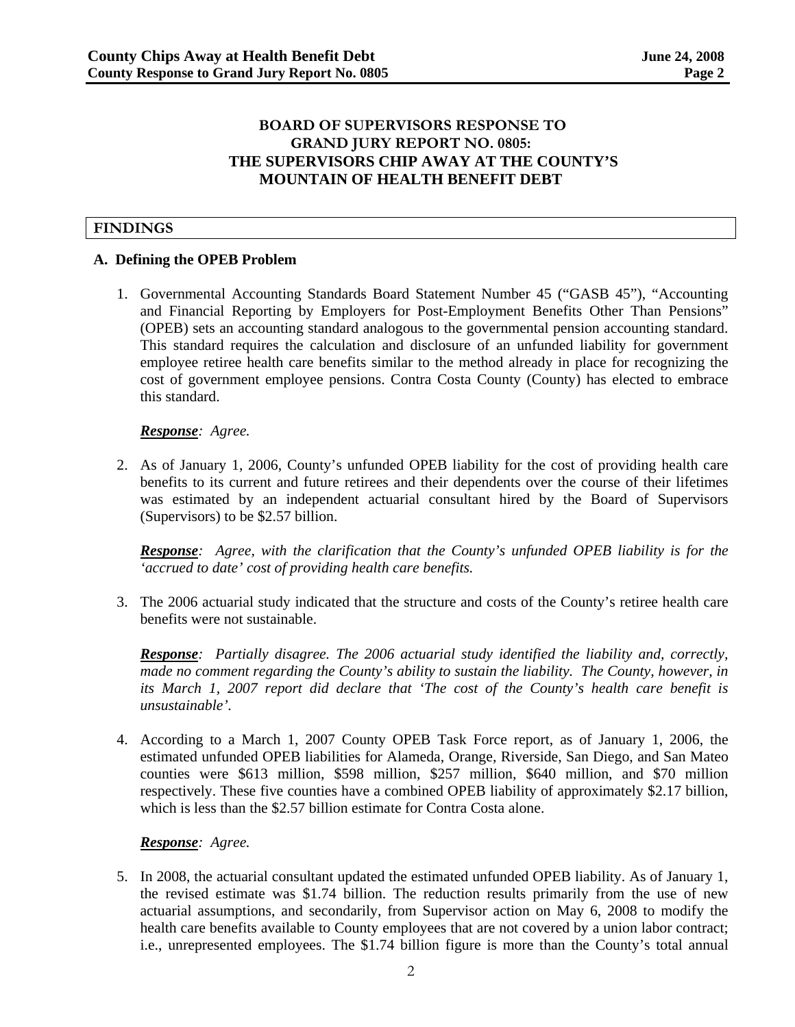# **BOARD OF SUPERVISORS RESPONSE TO GRAND JURY REPORT NO. 0805: THE SUPERVISORS CHIP AWAY AT THE COUNTY'S MOUNTAIN OF HEALTH BENEFIT DEBT**

# **FINDINGS**

# **A. Defining the OPEB Problem**

1. Governmental Accounting Standards Board Statement Number 45 ("GASB 45"), "Accounting and Financial Reporting by Employers for Post-Employment Benefits Other Than Pensions" (OPEB) sets an accounting standard analogous to the governmental pension accounting standard. This standard requires the calculation and disclosure of an unfunded liability for government employee retiree health care benefits similar to the method already in place for recognizing the cost of government employee pensions. Contra Costa County (County) has elected to embrace this standard.

### *Response: Agree.*

2. As of January 1, 2006, County's unfunded OPEB liability for the cost of providing health care benefits to its current and future retirees and their dependents over the course of their lifetimes was estimated by an independent actuarial consultant hired by the Board of Supervisors (Supervisors) to be \$2.57 billion.

*Response: Agree, with the clarification that the County's unfunded OPEB liability is for the 'accrued to date' cost of providing health care benefits.* 

3. The 2006 actuarial study indicated that the structure and costs of the County's retiree health care benefits were not sustainable.

*Response: Partially disagree. The 2006 actuarial study identified the liability and, correctly, made no comment regarding the County's ability to sustain the liability. The County, however, in its March 1, 2007 report did declare that 'The cost of the County's health care benefit is unsustainable'.* 

4. According to a March 1, 2007 County OPEB Task Force report, as of January 1, 2006, the estimated unfunded OPEB liabilities for Alameda, Orange, Riverside, San Diego, and San Mateo counties were \$613 million, \$598 million, \$257 million, \$640 million, and \$70 million respectively. These five counties have a combined OPEB liability of approximately \$2.17 billion, which is less than the \$2.57 billion estimate for Contra Costa alone.

#### *Response: Agree.*

5. In 2008, the actuarial consultant updated the estimated unfunded OPEB liability. As of January 1, the revised estimate was \$1.74 billion. The reduction results primarily from the use of new actuarial assumptions, and secondarily, from Supervisor action on May 6, 2008 to modify the health care benefits available to County employees that are not covered by a union labor contract; i.e., unrepresented employees. The \$1.74 billion figure is more than the County's total annual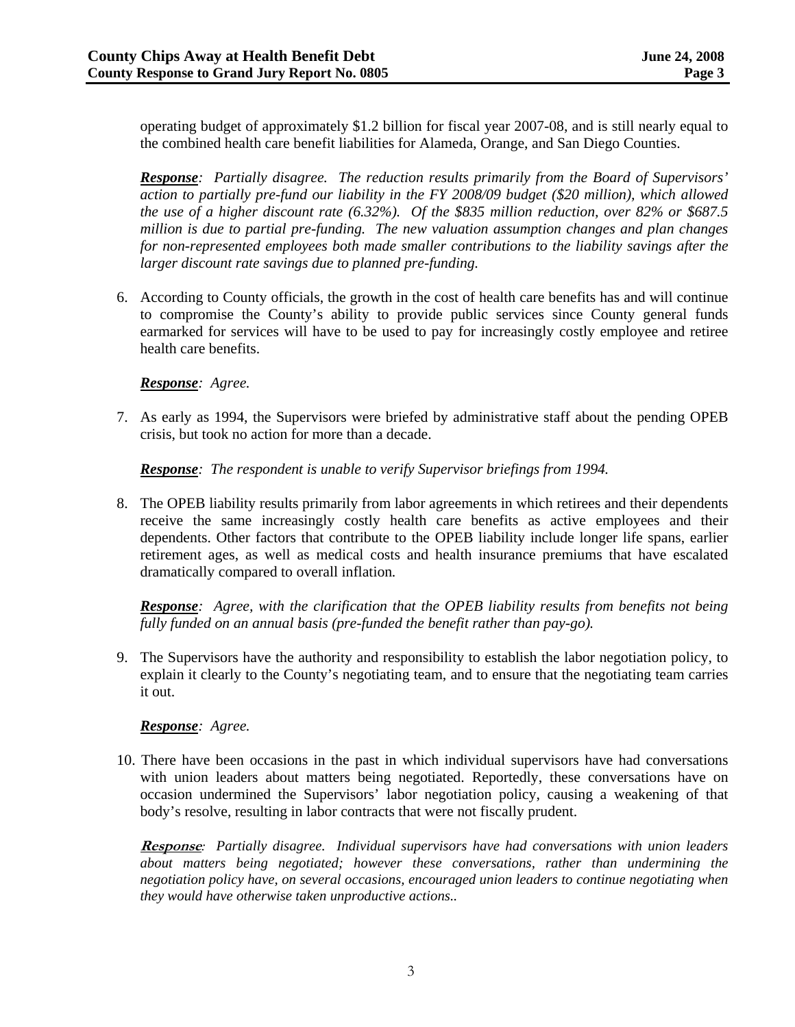operating budget of approximately \$1.2 billion for fiscal year 2007-08, and is still nearly equal to the combined health care benefit liabilities for Alameda, Orange, and San Diego Counties.

*Response: Partially disagree. The reduction results primarily from the Board of Supervisors' action to partially pre-fund our liability in the FY 2008/09 budget (\$20 million), which allowed the use of a higher discount rate (6.32%). Of the \$835 million reduction, over 82% or \$687.5 million is due to partial pre-funding. The new valuation assumption changes and plan changes for non-represented employees both made smaller contributions to the liability savings after the larger discount rate savings due to planned pre-funding.* 

6. According to County officials, the growth in the cost of health care benefits has and will continue to compromise the County's ability to provide public services since County general funds earmarked for services will have to be used to pay for increasingly costly employee and retiree health care benefits.

### *Response: Agree.*

7. As early as 1994, the Supervisors were briefed by administrative staff about the pending OPEB crisis, but took no action for more than a decade.

*Response: The respondent is unable to verify Supervisor briefings from 1994.* 

8. The OPEB liability results primarily from labor agreements in which retirees and their dependents receive the same increasingly costly health care benefits as active employees and their dependents. Other factors that contribute to the OPEB liability include longer life spans, earlier retirement ages, as well as medical costs and health insurance premiums that have escalated dramatically compared to overall inflation*.* 

*Response: Agree, with the clarification that the OPEB liability results from benefits not being fully funded on an annual basis (pre-funded the benefit rather than pay-go).* 

9. The Supervisors have the authority and responsibility to establish the labor negotiation policy, to explain it clearly to the County's negotiating team, and to ensure that the negotiating team carries it out.

# *Response: Agree.*

10. There have been occasions in the past in which individual supervisors have had conversations with union leaders about matters being negotiated. Reportedly, these conversations have on occasion undermined the Supervisors' labor negotiation policy, causing a weakening of that body's resolve, resulting in labor contracts that were not fiscally prudent.

**Response***: Partially disagree. Individual supervisors have had conversations with union leaders about matters being negotiated; however these conversations, rather than undermining the negotiation policy have, on several occasions, encouraged union leaders to continue negotiating when they would have otherwise taken unproductive actions..*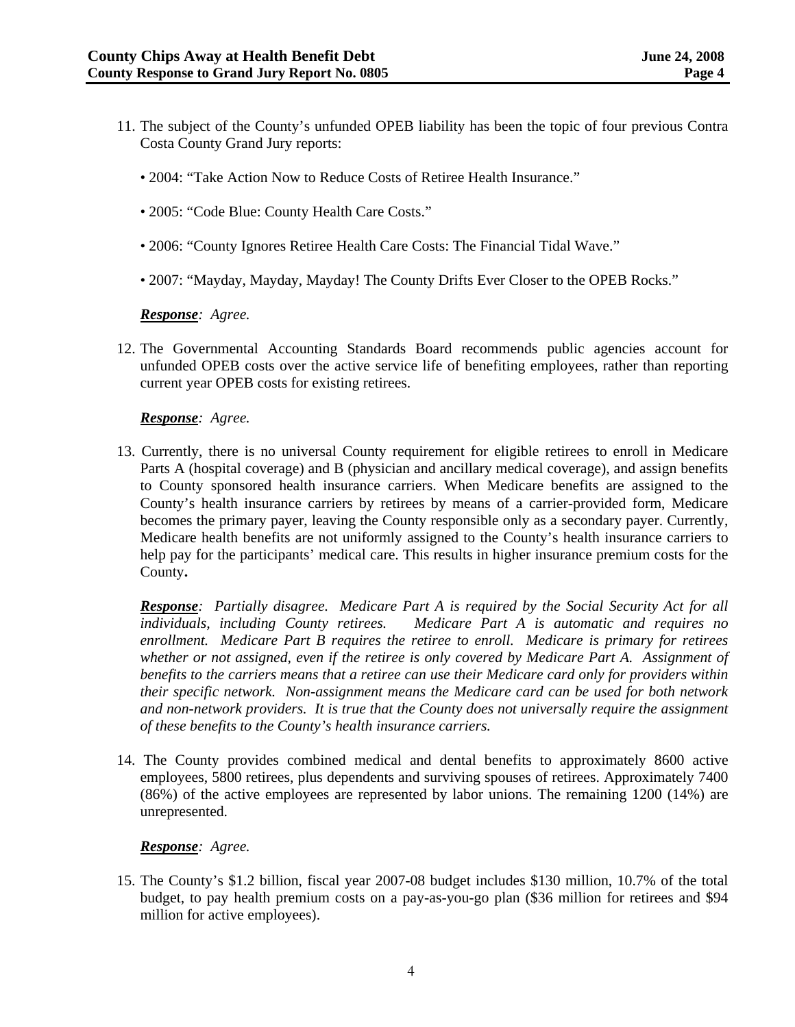- 11. The subject of the County's unfunded OPEB liability has been the topic of four previous Contra Costa County Grand Jury reports:
	- 2004: "Take Action Now to Reduce Costs of Retiree Health Insurance."
	- 2005: "Code Blue: County Health Care Costs."
	- 2006: "County Ignores Retiree Health Care Costs: The Financial Tidal Wave."
	- 2007: "Mayday, Mayday, Mayday! The County Drifts Ever Closer to the OPEB Rocks."

#### *Response: Agree.*

12. The Governmental Accounting Standards Board recommends public agencies account for unfunded OPEB costs over the active service life of benefiting employees, rather than reporting current year OPEB costs for existing retirees.

### *Response: Agree.*

13. Currently, there is no universal County requirement for eligible retirees to enroll in Medicare Parts A (hospital coverage) and B (physician and ancillary medical coverage), and assign benefits to County sponsored health insurance carriers. When Medicare benefits are assigned to the County's health insurance carriers by retirees by means of a carrier-provided form, Medicare becomes the primary payer, leaving the County responsible only as a secondary payer. Currently, Medicare health benefits are not uniformly assigned to the County's health insurance carriers to help pay for the participants' medical care. This results in higher insurance premium costs for the County**.** 

*Response: Partially disagree. Medicare Part A is required by the Social Security Act for all individuals, including County retirees. Medicare Part A is automatic and requires no enrollment. Medicare Part B requires the retiree to enroll. Medicare is primary for retirees whether or not assigned, even if the retiree is only covered by Medicare Part A. Assignment of benefits to the carriers means that a retiree can use their Medicare card only for providers within their specific network. Non-assignment means the Medicare card can be used for both network and non-network providers. It is true that the County does not universally require the assignment of these benefits to the County's health insurance carriers.* 

14. The County provides combined medical and dental benefits to approximately 8600 active employees, 5800 retirees, plus dependents and surviving spouses of retirees. Approximately 7400 (86%) of the active employees are represented by labor unions. The remaining 1200 (14%) are unrepresented.

# *Response: Agree.*

15. The County's \$1.2 billion, fiscal year 2007-08 budget includes \$130 million, 10.7% of the total budget, to pay health premium costs on a pay-as-you-go plan (\$36 million for retirees and \$94 million for active employees).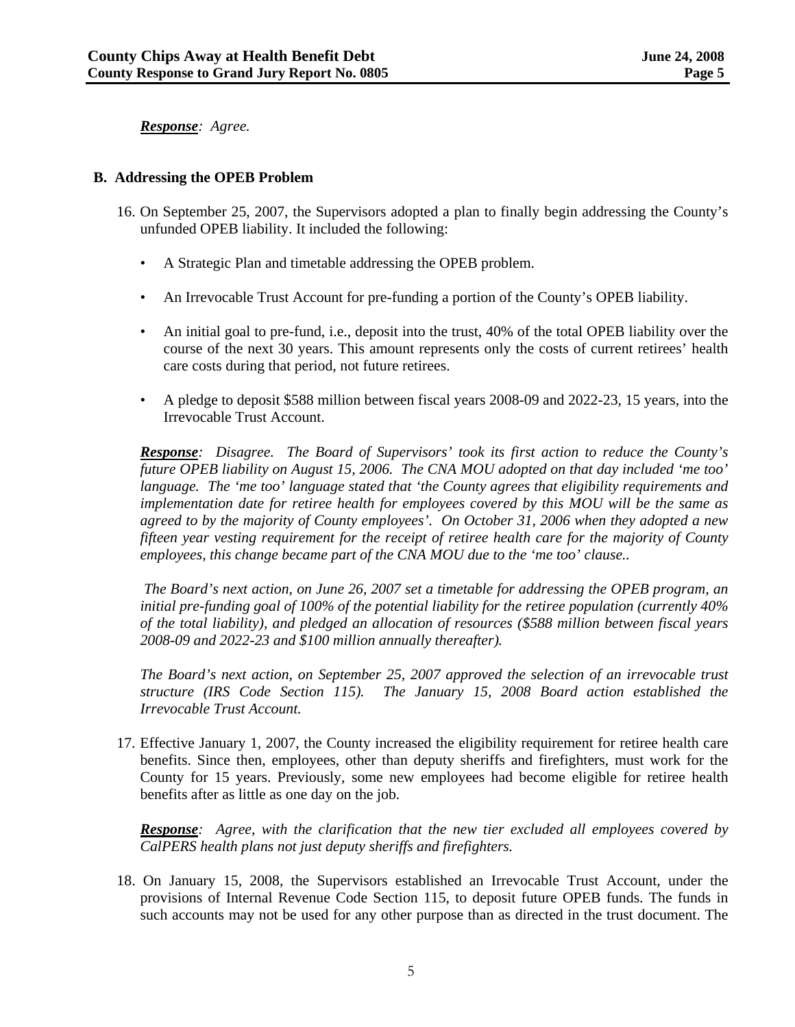*Response: Agree.* 

### **B. Addressing the OPEB Problem**

- 16. On September 25, 2007, the Supervisors adopted a plan to finally begin addressing the County's unfunded OPEB liability. It included the following:
	- A Strategic Plan and timetable addressing the OPEB problem.
	- An Irrevocable Trust Account for pre-funding a portion of the County's OPEB liability.
	- An initial goal to pre-fund, i.e., deposit into the trust, 40% of the total OPEB liability over the course of the next 30 years. This amount represents only the costs of current retirees' health care costs during that period, not future retirees.
	- A pledge to deposit \$588 million between fiscal years 2008-09 and 2022-23, 15 years, into the Irrevocable Trust Account.

*Response: Disagree. The Board of Supervisors' took its first action to reduce the County's future OPEB liability on August 15, 2006. The CNA MOU adopted on that day included 'me too' language. The 'me too' language stated that 'the County agrees that eligibility requirements and implementation date for retiree health for employees covered by this MOU will be the same as agreed to by the majority of County employees'. On October 31, 2006 when they adopted a new fifteen year vesting requirement for the receipt of retiree health care for the majority of County employees, this change became part of the CNA MOU due to the 'me too' clause..* 

 *The Board's next action, on June 26, 2007 set a timetable for addressing the OPEB program, an initial pre-funding goal of 100% of the potential liability for the retiree population (currently 40% of the total liability), and pledged an allocation of resources (\$588 million between fiscal years 2008-09 and 2022-23 and \$100 million annually thereafter).* 

*The Board's next action, on September 25, 2007 approved the selection of an irrevocable trust structure (IRS Code Section 115). The January 15, 2008 Board action established the Irrevocable Trust Account.* 

17. Effective January 1, 2007, the County increased the eligibility requirement for retiree health care benefits. Since then, employees, other than deputy sheriffs and firefighters, must work for the County for 15 years. Previously, some new employees had become eligible for retiree health benefits after as little as one day on the job.

*Response: Agree, with the clarification that the new tier excluded all employees covered by CalPERS health plans not just deputy sheriffs and firefighters.* 

18. On January 15, 2008, the Supervisors established an Irrevocable Trust Account, under the provisions of Internal Revenue Code Section 115, to deposit future OPEB funds. The funds in such accounts may not be used for any other purpose than as directed in the trust document. The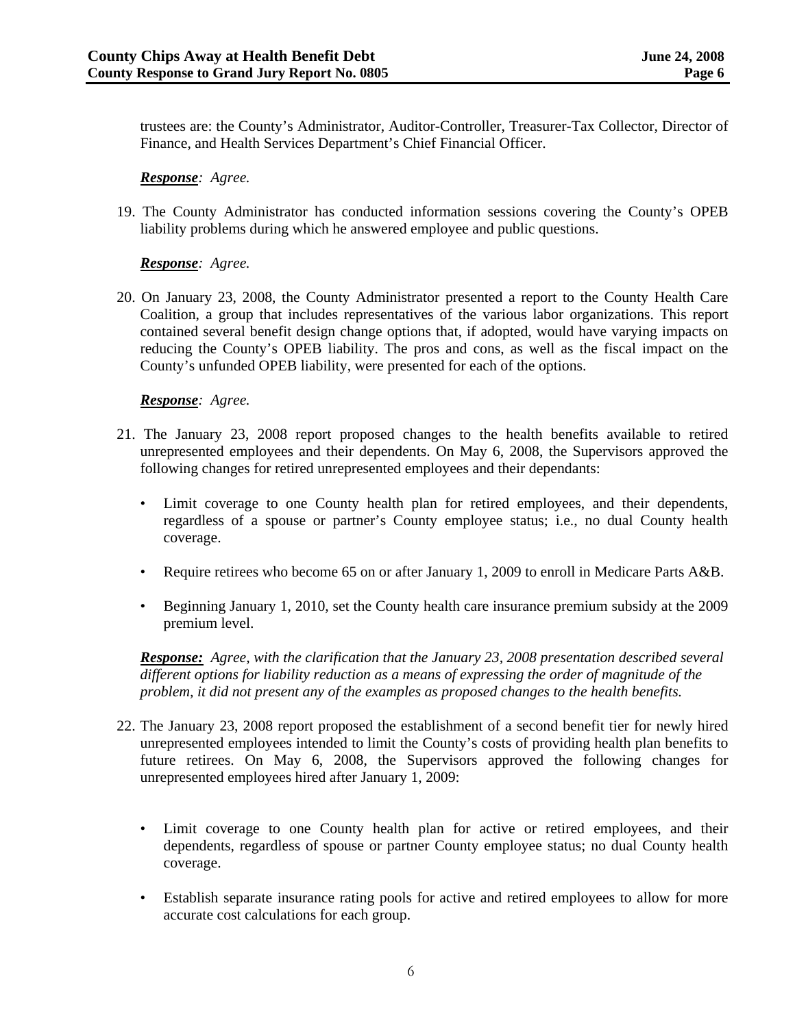trustees are: the County's Administrator, Auditor-Controller, Treasurer-Tax Collector, Director of Finance, and Health Services Department's Chief Financial Officer.

### *Response: Agree.*

19. The County Administrator has conducted information sessions covering the County's OPEB liability problems during which he answered employee and public questions.

# *Response: Agree.*

20. On January 23, 2008, the County Administrator presented a report to the County Health Care Coalition, a group that includes representatives of the various labor organizations. This report contained several benefit design change options that, if adopted, would have varying impacts on reducing the County's OPEB liability. The pros and cons, as well as the fiscal impact on the County's unfunded OPEB liability, were presented for each of the options.

### *Response: Agree.*

- 21. The January 23, 2008 report proposed changes to the health benefits available to retired unrepresented employees and their dependents. On May 6, 2008, the Supervisors approved the following changes for retired unrepresented employees and their dependants:
	- Limit coverage to one County health plan for retired employees, and their dependents, regardless of a spouse or partner's County employee status; i.e., no dual County health coverage.
	- Require retirees who become 65 on or after January 1, 2009 to enroll in Medicare Parts A&B.
	- Beginning January 1, 2010, set the County health care insurance premium subsidy at the 2009 premium level.

*Response: Agree, with the clarification that the January 23, 2008 presentation described several different options for liability reduction as a means of expressing the order of magnitude of the problem, it did not present any of the examples as proposed changes to the health benefits.* 

- 22. The January 23, 2008 report proposed the establishment of a second benefit tier for newly hired unrepresented employees intended to limit the County's costs of providing health plan benefits to future retirees. On May 6, 2008, the Supervisors approved the following changes for unrepresented employees hired after January 1, 2009:
	- Limit coverage to one County health plan for active or retired employees, and their dependents, regardless of spouse or partner County employee status; no dual County health coverage.
	- Establish separate insurance rating pools for active and retired employees to allow for more accurate cost calculations for each group.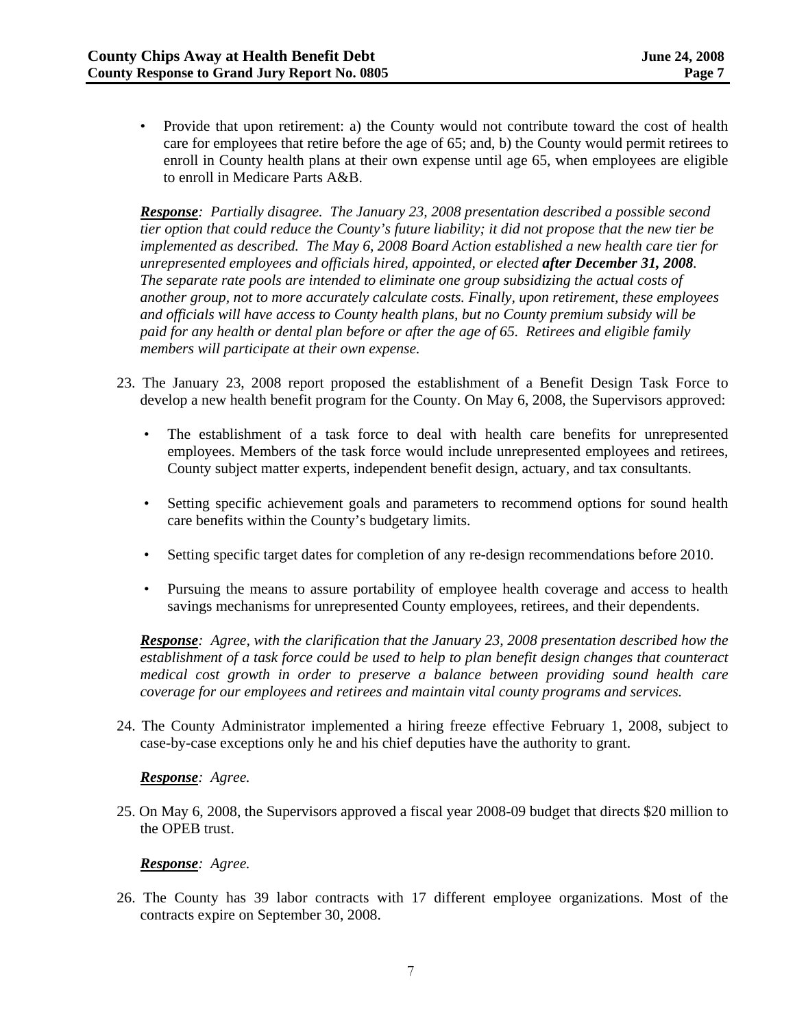• Provide that upon retirement: a) the County would not contribute toward the cost of health care for employees that retire before the age of 65; and, b) the County would permit retirees to enroll in County health plans at their own expense until age 65, when employees are eligible to enroll in Medicare Parts A&B.

*Response: Partially disagree. The January 23, 2008 presentation described a possible second tier option that could reduce the County's future liability; it did not propose that the new tier be implemented as described. The May 6, 2008 Board Action established a new health care tier for unrepresented employees and officials hired, appointed, or elected after December 31, 2008. The separate rate pools are intended to eliminate one group subsidizing the actual costs of another group, not to more accurately calculate costs. Finally, upon retirement, these employees and officials will have access to County health plans, but no County premium subsidy will be paid for any health or dental plan before or after the age of 65. Retirees and eligible family members will participate at their own expense.* 

- 23. The January 23, 2008 report proposed the establishment of a Benefit Design Task Force to develop a new health benefit program for the County. On May 6, 2008, the Supervisors approved:
	- The establishment of a task force to deal with health care benefits for unrepresented employees. Members of the task force would include unrepresented employees and retirees, County subject matter experts, independent benefit design, actuary, and tax consultants.
	- Setting specific achievement goals and parameters to recommend options for sound health care benefits within the County's budgetary limits.
	- Setting specific target dates for completion of any re-design recommendations before 2010.
	- Pursuing the means to assure portability of employee health coverage and access to health savings mechanisms for unrepresented County employees, retirees, and their dependents.

*Response: Agree, with the clarification that the January 23, 2008 presentation described how the establishment of a task force could be used to help to plan benefit design changes that counteract medical cost growth in order to preserve a balance between providing sound health care coverage for our employees and retirees and maintain vital county programs and services.* 

24. The County Administrator implemented a hiring freeze effective February 1, 2008, subject to case-by-case exceptions only he and his chief deputies have the authority to grant.

#### *Response: Agree.*

25. On May 6, 2008, the Supervisors approved a fiscal year 2008-09 budget that directs \$20 million to the OPEB trust.

#### *Response: Agree.*

26. The County has 39 labor contracts with 17 different employee organizations. Most of the contracts expire on September 30, 2008.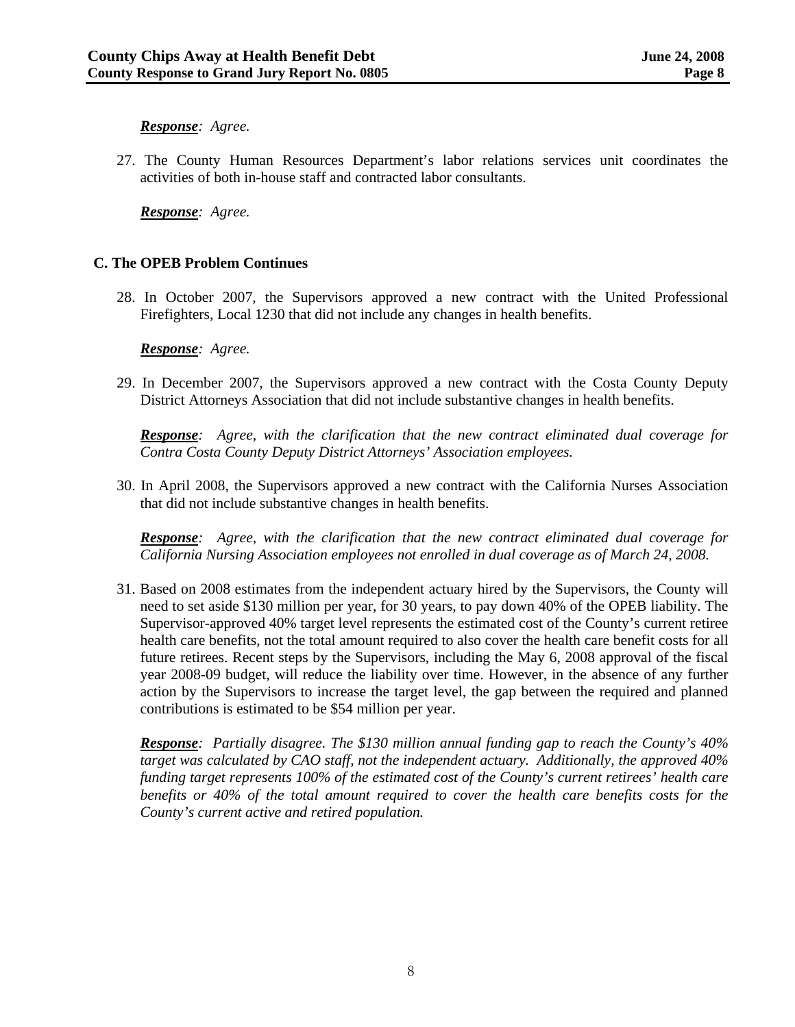#### *Response: Agree.*

27. The County Human Resources Department's labor relations services unit coordinates the activities of both in-house staff and contracted labor consultants.

*Response: Agree.* 

### **C. The OPEB Problem Continues**

28. In October 2007, the Supervisors approved a new contract with the United Professional Firefighters, Local 1230 that did not include any changes in health benefits.

#### *Response: Agree.*

29. In December 2007, the Supervisors approved a new contract with the Costa County Deputy District Attorneys Association that did not include substantive changes in health benefits.

*Response: Agree, with the clarification that the new contract eliminated dual coverage for Contra Costa County Deputy District Attorneys' Association employees.* 

30. In April 2008, the Supervisors approved a new contract with the California Nurses Association that did not include substantive changes in health benefits.

*Response: Agree, with the clarification that the new contract eliminated dual coverage for California Nursing Association employees not enrolled in dual coverage as of March 24, 2008.* 

31. Based on 2008 estimates from the independent actuary hired by the Supervisors, the County will need to set aside \$130 million per year, for 30 years, to pay down 40% of the OPEB liability. The Supervisor-approved 40% target level represents the estimated cost of the County's current retiree health care benefits, not the total amount required to also cover the health care benefit costs for all future retirees. Recent steps by the Supervisors, including the May 6, 2008 approval of the fiscal year 2008-09 budget, will reduce the liability over time. However, in the absence of any further action by the Supervisors to increase the target level, the gap between the required and planned contributions is estimated to be \$54 million per year.

*Response: Partially disagree. The \$130 million annual funding gap to reach the County's 40% target was calculated by CAO staff, not the independent actuary. Additionally, the approved 40% funding target represents 100% of the estimated cost of the County's current retirees' health care benefits or 40% of the total amount required to cover the health care benefits costs for the County's current active and retired population.*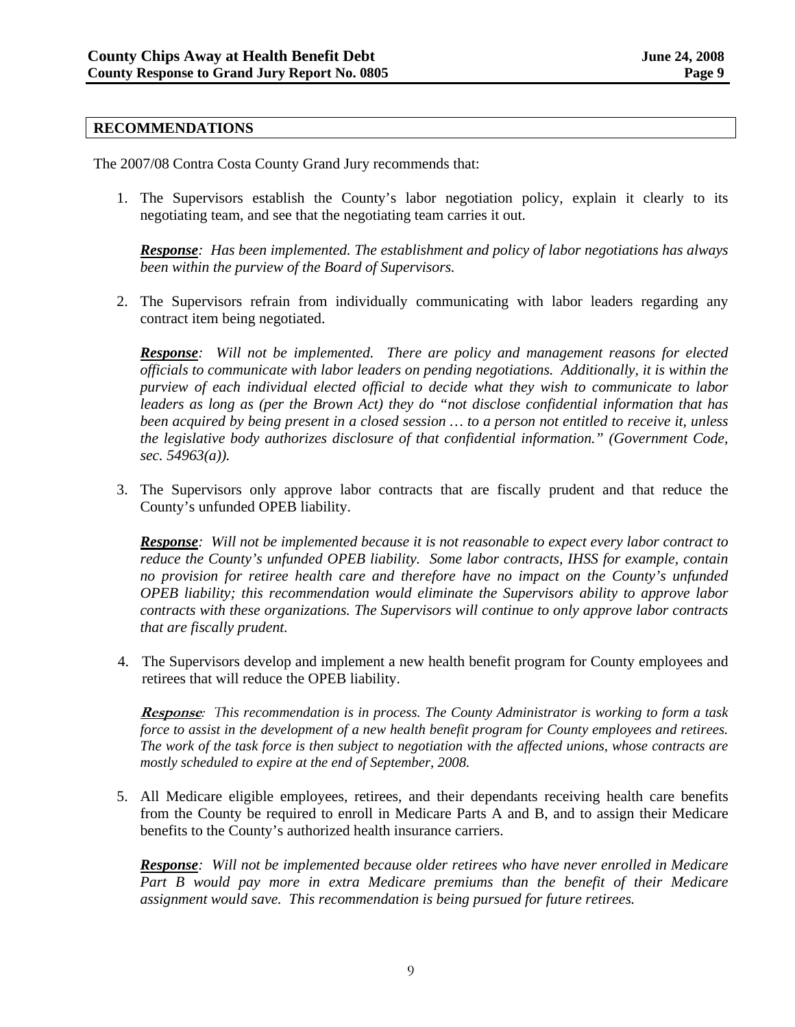### **RECOMMENDATIONS**

The 2007/08 Contra Costa County Grand Jury recommends that:

1. The Supervisors establish the County's labor negotiation policy, explain it clearly to its negotiating team, and see that the negotiating team carries it out.

*Response: Has been implemented. The establishment and policy of labor negotiations has always been within the purview of the Board of Supervisors.* 

2. The Supervisors refrain from individually communicating with labor leaders regarding any contract item being negotiated.

*Response: Will not be implemented. There are policy and management reasons for elected officials to communicate with labor leaders on pending negotiations. Additionally, it is within the purview of each individual elected official to decide what they wish to communicate to labor leaders as long as (per the Brown Act) they do "not disclose confidential information that has been acquired by being present in a closed session … to a person not entitled to receive it, unless the legislative body authorizes disclosure of that confidential information." (Government Code, sec. 54963(a)).* 

3. The Supervisors only approve labor contracts that are fiscally prudent and that reduce the County's unfunded OPEB liability.

*Response: Will not be implemented because it is not reasonable to expect every labor contract to reduce the County's unfunded OPEB liability. Some labor contracts, IHSS for example, contain no provision for retiree health care and therefore have no impact on the County's unfunded OPEB liability; this recommendation would eliminate the Supervisors ability to approve labor contracts with these organizations. The Supervisors will continue to only approve labor contracts that are fiscally prudent.* 

4. The Supervisors develop and implement a new health benefit program for County employees and retirees that will reduce the OPEB liability.

**Response***: This recommendation is in process. The County Administrator is working to form a task force to assist in the development of a new health benefit program for County employees and retirees. The work of the task force is then subject to negotiation with the affected unions, whose contracts are mostly scheduled to expire at the end of September, 2008.* 

5. All Medicare eligible employees, retirees, and their dependants receiving health care benefits from the County be required to enroll in Medicare Parts A and B, and to assign their Medicare benefits to the County's authorized health insurance carriers.

*Response: Will not be implemented because older retirees who have never enrolled in Medicare Part B would pay more in extra Medicare premiums than the benefit of their Medicare assignment would save. This recommendation is being pursued for future retirees.*